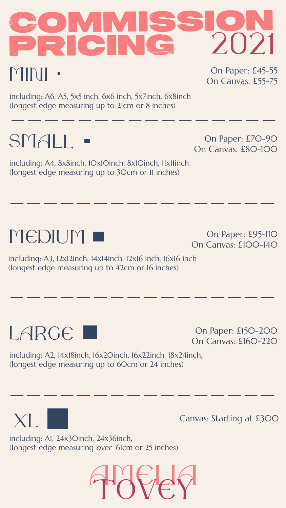

including: A6, A5, 5x5 inch, 6x6 inch, 5x7inch, 6x8inch (longest edge measuring up to 21cm or 8 inches) including: A6, A5, 5x5 inch, 6x6 inch, 5x/inch, 6x8inch<br>(longest edge measuring up to 21cm or 8 inches)<br>————————————————————————————————

# small

medium



including: A3, 12x12inch, 14x14inch, 12x16 inch, 16x16 inch (longest edge measuring up to 42cm or 16 inches)  $\qquad \qquad \qquad$ 

### LARGE L

#### OMMISSION<br>RICING 2021 pricing 2021 and 2021 (C **MININI** On Paper: £45-55 On Canvas: £55-75

including: A2, 14x18inch, 16x20inch, 16x22inch, 18x24inch, (longest edge measuring up to 60cm or 24 inches)

including: A4, 8x8inch, 10x10inch, 8x10inch, 11x11inch (longest edge measuring up to 30cm or 11 inches) \_\_\_\_\_\_\_\_\_\_\_\_\_\_\_\_

#### including: A1, 24x30inch, 24x36inch, (longest edge measuring over 61cm or 25 inches)

On Paper: £70-90 On Canvas: £80-100

On Paper: £95-110 On Canvas: £100-140

On Paper: £150-200 On Canvas: £160-220

Canvas: Starting at £300

\_\_\_\_\_\_\_\_\_\_\_\_\_\_\_\_